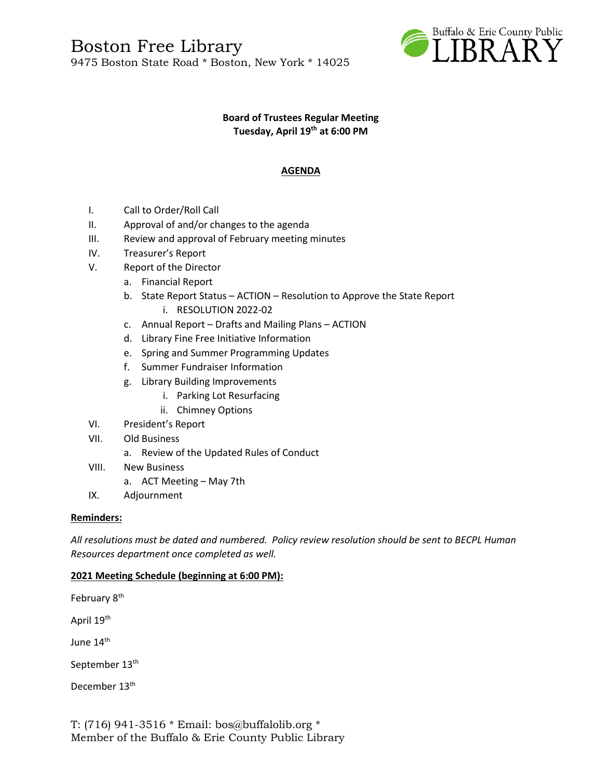

#### **Board of Trustees Regular Meeting Tuesday, April 19th at 6:00 PM**

# **AGENDA**

- I. Call to Order/Roll Call
- II. Approval of and/or changes to the agenda
- III. Review and approval of February meeting minutes
- IV. Treasurer's Report
- V. Report of the Director
	- a. Financial Report
	- b. State Report Status ACTION Resolution to Approve the State Report i. RESOLUTION 2022-02
	- c. Annual Report Drafts and Mailing Plans ACTION
	- d. Library Fine Free Initiative Information
	- e. Spring and Summer Programming Updates
	- f. Summer Fundraiser Information
	- g. Library Building Improvements
		- i. Parking Lot Resurfacing
		- ii. Chimney Options
- VI. President's Report
- VII. Old Business
	- a. Review of the Updated Rules of Conduct
- VIII. New Business
	- a. ACT Meeting May 7th
- IX. Adjournment

## **Reminders:**

*All resolutions must be dated and numbered. Policy review resolution should be sent to BECPL Human Resources department once completed as well.* 

## **2021 Meeting Schedule (beginning at 6:00 PM):**

February 8<sup>th</sup>

April 19th

June 14<sup>th</sup>

September 13<sup>th</sup>

December 13<sup>th</sup>

T: (716) 941-3516 \* Email: [bos@buffalolib.org](mailto:bos@buffalolib.org) \* Member of the Buffalo & Erie County Public Library